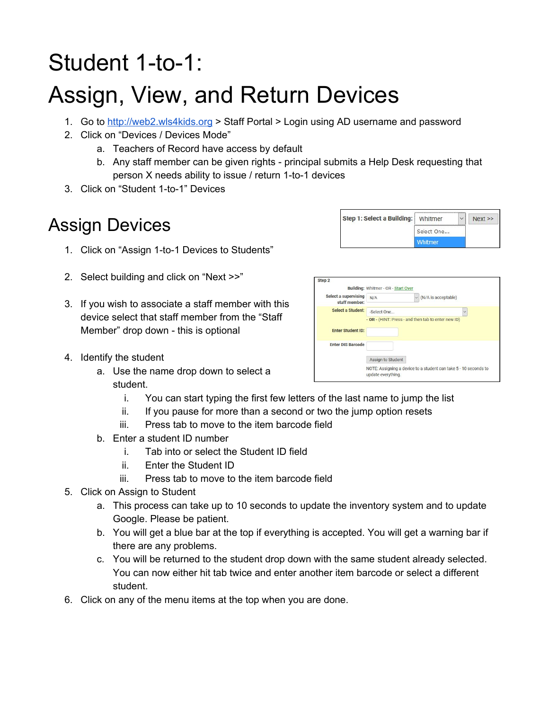# Student 1-to-1:

## Assign, View, and Return Devices

- 1. Go to [http://web2.wls4kids.org](http://web2.wls4kids.org/) > Staff Portal > Login using AD username and password
- 2. Click on "Devices / Devices Mode"
	- a. Teachers of Record have access by default
	- b. Any staff member can be given rights principal submits a Help Desk requesting that person X needs ability to issue / return 1-to-1 devices
- 3. Click on "Student 1-to-1" Devices

## Assign Devices

- 1. Click on "Assign 1-to-1 Devices to Students"
- 2. Select building and click on "Next >>"
- 3. If you wish to associate a staff member with this device select that staff member from the "Staff Member" drop down - this is optional

| Step 1: Select a Building: Whitmer |                | Next |
|------------------------------------|----------------|------|
|                                    | Select One     |      |
|                                    | <b>Mhitmer</b> |      |

| Step <sub>2</sub>                     |                                                                                            |
|---------------------------------------|--------------------------------------------------------------------------------------------|
|                                       | Building: Whitmer - OR - Start Over                                                        |
| Select a supervising<br>staff member: | $\vee$ (N/A is acceptable)<br>N/A                                                          |
| Select a Student:                     | $\ddot{\phantom{0}}$<br>-Select One<br>- OR - (HINT: Press - and then tab to enter new ID) |
| <b>Enter Student ID:</b>              |                                                                                            |
| <b>Enter DIS Barcode</b>              |                                                                                            |
|                                       | Assign to Student                                                                          |
|                                       | NOTE: Assigning a device to a student can take 5 - 10 seconds to<br>update everything.     |

- 4. Identify the student
	- a. Use the name drop down to select a student.
		- i. You can start typing the first few letters of the last name to jump the list
		- ii. If you pause for more than a second or two the jump option resets
		- iii. Press tab to move to the item barcode field
	- b. Enter a student ID number
		- i. Tab into or select the Student ID field
		- ii. Enter the Student ID
		- iii. Press tab to move to the item barcode field
- 5. Click on Assign to Student
	- a. This process can take up to 10 seconds to update the inventory system and to update Google. Please be patient.
	- b. You will get a blue bar at the top if everything is accepted. You will get a warning bar if there are any problems.
	- c. You will be returned to the student drop down with the same student already selected. You can now either hit tab twice and enter another item barcode or select a different student.
- 6. Click on any of the menu items at the top when you are done.